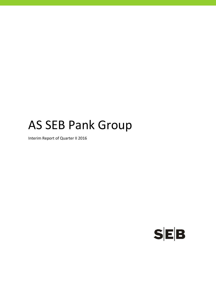# AS SEB Pank Group

Interim Report of Quarter II 2016

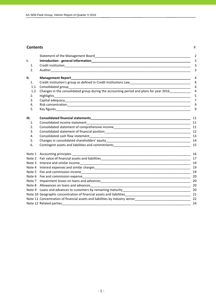#### **Contents** P.

|            |                                                                                                                                                                                                                                | $\overline{2}$      |
|------------|--------------------------------------------------------------------------------------------------------------------------------------------------------------------------------------------------------------------------------|---------------------|
| ı.         |                                                                                                                                                                                                                                | $\overline{3}$      |
| 1.         |                                                                                                                                                                                                                                | 3                   |
| 2.         |                                                                                                                                                                                                                                | 3                   |
| II.        |                                                                                                                                                                                                                                | 4                   |
| 1.         | Credit institution's group as defined in Credit Institutions Law___________________________________                                                                                                                            | $\overline{4}$      |
| 1.1.       | Consolidated group                                                                                                                                                                                                             | $\overline{4}$      |
| 1.2.<br>2. | Changes in the consolidated group during the accounting period and plans for year 2016<br>Highlights                                                                                                                           | $\overline{4}$<br>5 |
| 3.         |                                                                                                                                                                                                                                | $\overline{7}$      |
| 4.         |                                                                                                                                                                                                                                | 9                   |
| 5.         |                                                                                                                                                                                                                                | 9                   |
| Ш.         |                                                                                                                                                                                                                                | 11                  |
| 1.         | Consolidated income statement<br><u> 1999 - Johann Barbara, markazar margolar (h. 1989).</u>                                                                                                                                   | 11                  |
| 2.         |                                                                                                                                                                                                                                |                     |
| 3.         |                                                                                                                                                                                                                                |                     |
| 4.         |                                                                                                                                                                                                                                |                     |
| 5.         |                                                                                                                                                                                                                                |                     |
| 6.         |                                                                                                                                                                                                                                | 15                  |
|            |                                                                                                                                                                                                                                | 16                  |
|            |                                                                                                                                                                                                                                |                     |
|            | Note 3 Interest and similar incomerse and service and state and state and state and similar incomerse and similar incomerse and similar incomerse and similar incomerse and similar incomerse and similar incomerse and simila | 19                  |
|            |                                                                                                                                                                                                                                | 19                  |
|            |                                                                                                                                                                                                                                | 19                  |
|            |                                                                                                                                                                                                                                |                     |
| Note 7     |                                                                                                                                                                                                                                |                     |
|            |                                                                                                                                                                                                                                |                     |
|            |                                                                                                                                                                                                                                |                     |
|            |                                                                                                                                                                                                                                |                     |
|            | Note 11 Concentration of financial assets and liabilities by industry sector<br>122                                                                                                                                            |                     |
|            | Note 12 Related parties and the state of the state of the state of the state of the state of the state of the state of the state of the state of the state of the state of the state of the state of the state of the state of | 24                  |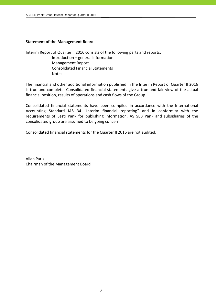## **Statement of the Management Board**

Interim Report of Quarter II 2016 consists of the following parts and reports:

 Introduction – general information Management Report Consolidated Financial Statements Notes

The financial and other additional information published in the Interim Report of Quarter II 2016 is true and complete. Consolidated financial statements give a true and fair view of the actual financial position, results of operations and cash flows of the Group.

Consolidated financial statements have been compiled in accordance with the International Accounting Standard IAS 34 "Interim financial reporting" and in conformity with the requirements of Eesti Pank for publishing information. AS SEB Pank and subsidiaries of the consolidated group are assumed to be going concern.

Consolidated financial statements for the Quarter II 2016 are not audited.

Allan Parik Chairman of the Management Board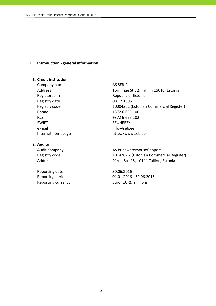## **I. Introduction ‐ general information**

## **1. Credit institution**

Company name AS SEB Pank Registry date 08.12.1995 Phone  $+3726655100$ Fax +372 6 655 102 SWIFT EEUHEE2X e-mail info@seb.ee

## **2. Auditor**

Reporting date 30.06.2016

Address Tornimäe Str. 2, Tallinn 15010, Estonia Registered in Republic of Estonia Registry code 10004252 (Estonian Commercial Register) Internet homepage http://www.seb.ee

Audit company **AS PricewaterhouseCoopers** Registry code 10142876 (Estonian Commercial Register) Address **Pärnu Str. 15, 10141 Tallinn, Estonia** 

Reporting period 01.01.2016 ‐ 30.06.2016 Reporting currency **EUR** Euro (EUR), millions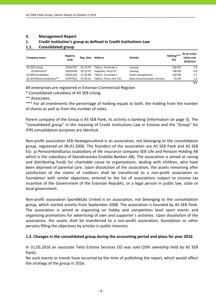## **II. Management Report**

## **1. Credit institution's group as defined in Credit Institutions Law**

## **1.1. Consolidated group**

| Company name                | Registry<br>code | Reg. date | <b>Address</b>         | <b>Activity</b>             | Holding***<br>(%) | At an acqui-<br>sition cost<br>(EURmio) |
|-----------------------------|------------------|-----------|------------------------|-----------------------------|-------------------|-----------------------------------------|
| AS SEB Liising              | 10281767         | 03.10.97  | Tallinn. Tornimäe 2    | Leasing                     | 100.0%            | 1.8                                     |
| AS Rentacar*                | 10303546         | 20.10.97  | Haapsalu, Karja 27     | Leasing                     | 100.0%            | 0.0                                     |
| AS SEB Varahaldus           | 10035169         | 22.05.96  | Tallinn. Tornimäe 2    | Asset management            | 100.0%            | 2.7                                     |
| AS Sertifitseerimiskeskus** | 10747013         | 27.03.01  | Tallinn. Pärnu mnt 141 | Data communication services | 25.0%             | 1.0                                     |
|                             |                  |           |                        |                             |                   | 5.5                                     |

All enterprises are registered in Estonian Commercial Register.

\* Consolidated subsidiary of AS SEB Liising.

\*\* Associates.

\*\*\* For all investments the percentage of holding equals to both, the holding from the number of shares as well as from the number of votes.

Parent company of the Group is AS SEB Pank, its activity is banking (information on page 3). The "consolidated group" in the meaning of Credit Institutions Law in Estonia and the "Group" for IFRS consolidation purposes are identical.

Non‐profit association SEB Heategevusfond is an association, not belonging to the consolidation group, registered on 06.01.2006. The founders of the association are AS SEB Pank and AS SEB Elu‐ ja Pensionikindlustus (subsidiary of life insurance company SEB Life and Pension Holding AB which is the subsidiary of Skandinaviska Enskilda Banken AB). The association is aimed at raising and distributing funds for charitable cause to organisations, dealing with children, who have been deprived of parental care. Upon dissolution of the association, the assets remaining after satisfaction of the claims of creditors shall be transferred to a non‐profit association or foundation with similar objectives, entered to the list of associations subject to income tax incentive of the Government of the Estonian Republic, or a legal person in public law, state or local government.

Non‐profit association Spordiklubi United is an association, not belonging to the consolidation group, which started activity from September 2008. The association is founded by AS SEB Pank. The association is aimed at organizing on hobby and competition level sport events and organizing promotions for advertising of own and supporter´s activities. Upon dissolution of the association, the assets shall be transferred to a non‐profit association, foundation or other persons filling the objectives by articles in public interests.

## **1.2. Changes in the consolidated group during the accounting period and plans for year 2016**

In 31.05.2016 an associate Tieto Estonia Services OÜ was sold (20% owneship held by AS SEB Pank).

No such events or trends have occurred by the time of publishing the report, which would affect the strategy of the group in 2016.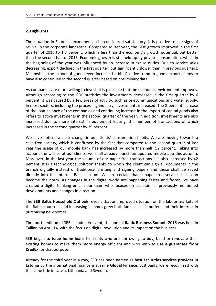## **2. Highlights**

The situation in Estonia's economy can be considered satisfactory, it is positive to see signs of revival in the corporate landscape. Compared to last year, the GDP growth improved in the first quarter of 2016 to 1.7 percent, which is less than the economy's growth potential, but better than the second half of 2015. Economic growth is still held up by private consumption, which in the beginning of the year was influenced by an increase in excise duties. Due to service sales decreasing, export declined in the first quarter, but significantly slower than in previous quarters. Meanwhile, the export of goods even increased a bit. Positive trend in goods export seems to have also continued in the second quarter based on preliminary data.

As companies are more willing to invest, it is plausible that the economic environment improves. Although according to the GDP statistics the investments decreased in the first quarter by 6 percent, it was caused by a few areas of activity, such as telecommunications and water supply. In most sectors, including the processing industry, investments increased. The 8‐percent increase of the loan balance of the companies and continuing increase in the import of capital goods also refers to active investments in the second quarter of the year. In addition, investments are also increased due to more interest in equipment leasing, the number of transactions of which increased in the second quarter by 39 percent.

We have noticed a clear change in our clients' consumption habits. We are moving towards a cash‐free society, which is confirmed by the fact that compared to the second quarter of last year the usage of our mobile bank has increased by more than half, 52 percent. Taking into account the wishes of our clients, we shall already launch an updated mobile app this autumn. Moreover, in the last year the volume of our paper-free transactions has also increased by 42 percent. It is a technological solution thanks to which the client can sign all documents in the branch digitally instead of traditional printing and signing papers and these shall be saved directly into the Internet Bank account. We are certain that a paper‐free service shall soon become the norm. As changes in the digital world are happening faster and faster, we have created a digital banking unit in our team who focuses on such similar previously mentioned developments and changes in direction.

The **SEB Baltic Household Outlook** reveals that an improved situation on the labour markets of the Baltic countries and increasing incomes grew both families' cash buffers and their interest in purchasing new homes.

The fourth edition of SEB's landmark event, the annual **Baltic Business Summit** 2016 was held in Tallinn on April 14, with the focus on digital revolution and its impact on the business.

SEB began **to issue home loans** to clients who are borrowing to buy, build or renovate their existing homes to make them more energy efficient and who wish **to use a guarantee from KredEx** for that purpose.

Already for the third year in a row, SEB has been named as **best securities services provider in Estonia** by the international finance magazine **Global Finance**. SEB Banks were recognised with the same title in Latvia, Lithuania and Sweden.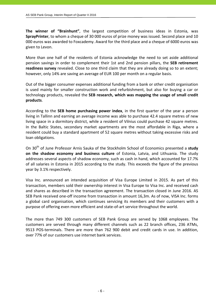**The winner of "Brainhunt"**, the largest competition of business ideas in Estonia, was **SprayPrinter**, to whom a cheque of 30 000 euros of prize money was issued. Second place and 10 000 euros was awarded to Foxcademy. Award for the third place and a cheque of 6000 euros was given to Levon.

More than one half of the residents of Estonia acknowledge the need to set aside additional pension savings in order to complement their 1st and 2nd pension pillars, the **SEB retirement readiness survey** revealed. Close to one third claim that they are already doing so to an extent; however, only 14% are saving an average of EUR 100 per month on a regular basis.

Out of the bigger consumer expenses additional funding from a bank or other credit organisation is used mainly for smaller construction work and refurbishment, but also for buying a car or technology products, revealed the **SEB research, which was mapping the usage of small credit products**.

According to the **SEB home purchasing power index**, in the first quarter of the year a person living in Tallinn and earning an average income was able to purchase 42.4 square metres of new living space in a dormitory district, while a resident of Vilnius could purchase 42 square metres. In the Baltic States, secondary market apartments are the most affordable in Riga, where a resident could buy a standard apartment of 52 square metres without taking excessive risks and loan obligations.

On 30th of June Professor Arnis Sauka of the Stockholm School of Economics presented a **study on the shadow economy and business culture** of Estonia, Latvia, and Lithuania. The study addresses several aspects of shadow economy, such as cash in hand, which accounted for 17.7% of all salaries in Estonia in 2015 according to the study. This exceeds the figure of the previous year by 3.1% respectively.

Visa Inc. announced an intended acquisition of Visa Europe Limited in 2015. As part of this transaction, members sold their ownership interest in Visa Europe to Visa Inc. and received cash and shares as described in the transaction agreement. The transaction closed in June 2016. AS SEB Pank received one‐off income from transaction in amount 16,3m. As of now, VISA Inc. forms a global card organisation, which continues servicing its members and their customers with a purpose of offering even more efficient and state‐of‐art service throughout the world.

The more than 749 300 customers of SEB Pank Group are served by 1068 employees. The customers are served through many different channels such as 22 branch offices, 236 ATMs, 9513 POS‐terminals. There are more than 762 900 debit and credit cards in use. In addition, over 77% of our customers use internet bank services.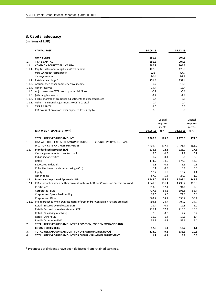# **3. Capital adequacy**

(millions of EUR)

|        | <b>CAPITAL BASE</b>                                                    | 30.06.16 | 31.12.15 |
|--------|------------------------------------------------------------------------|----------|----------|
|        | <b>OWN FUNDS</b>                                                       | 890.2    | 904.5    |
| 1.     | <b>TIER 1 CAPITAL</b>                                                  | 890.2    | 904.5    |
| 1.1.   | <b>COMMON EQUITY TIER 1 CAPITAL</b>                                    | 890.2    | 904.5    |
| 1.1.1. | Capital instruments eligible as CET1 Capital                           | 128.8    | 128.8    |
|        | Paid up capital instruments                                            | 42.5     | 42.5     |
|        | Share premium                                                          | 86.3     | 86.3     |
| 1.1.2. | Retained earnings *                                                    | 751.4    | 751.4    |
| 1.1.3. | Accumulated other comprehensive income                                 | 0.7      | 12.8     |
| 1.1.4. | Other reserves                                                         | 19.4     | 19.4     |
|        | 1.1.5. Adjustments to CET1 due to prudential filters                   | $-0.1$   | $-0.1$   |
| 1.1.6. | (-) Intangible assets                                                  | $-3.2$   | $-1.9$   |
|        | 1.1.7. (-) IRB shortfall of credit risk adjustments to expected losses | $-6.4$   | $-5.5$   |
| 1.1.8. | Other transitional adjustments to CET1 Capital                         | $-0.4$   | $-0.4$   |
| 2.     | <b>TIER 2 CAPITAL</b>                                                  | 0.0      | 0.0      |
|        | IRB Excess of provisions over expected losses eligible                 | 0.0      | 0.0      |

|        |                                                                                    |             | Capital  |             | Capital  |
|--------|------------------------------------------------------------------------------------|-------------|----------|-------------|----------|
|        |                                                                                    |             | require- |             | require- |
|        |                                                                                    |             | ments    |             | ments    |
|        | RISK WEIGHTED ASSETS (RWA)                                                         | 30.06.16    | (8%)     | 31.12.15    | (8%)     |
|        | <b>TOTAL RISK EXPOSURE AMOUNT</b>                                                  | 2 3 6 2 . 8 | 189.0    | 2 1 7 5 . 3 | 174.0    |
| 1.     | RISK WEIGHTED EXPOSURE AMOUNTS FOR CREDIT, COUNTERPARTY CREDIT AND                 |             |          |             |          |
|        | DILUTION RISKS AND FREE DELIVERIES                                                 | 2 2 2 1.6   | 177.7    | 2 0 2 1 . 1 | 161.7    |
| 1.1.   | Standardised approach (SA)                                                         | 276.6       | 22.1     | 222.7       | 17.8     |
|        | Central governments or central banks                                               | 7.6         | 0.6      | 2.9         | 0.2      |
|        | Public sector entities                                                             | 0.7         | 0.1      | 0.6         | 0.0      |
|        | Retail                                                                             | 174.7       | 14.0     | 174.0       | 13.9     |
|        | Exposures in default                                                               | 1.8         | 0.1      | 1.6         | 0.1      |
|        | Collective investments undertakings (CIU)                                          | 6.1         | 0.5      | 6.1         | 0.5      |
|        | Equity                                                                             | 18.7        | 1.5      | 13.2        | 1.1      |
|        | Other items                                                                        | 67.0        | 5.4      | 24.3        | 1.9      |
| 1.2.   | Internal ratings based Approach (IRB)                                              | 1945.0      | 155.6    | 1798.4      | 143.9    |
| 1.2.1. | IRB approaches when neither own estimates of LGD nor Conversion Factors are used   | 1641.9      | 131.4    | 1499.7      | 120.0    |
|        | Institutions                                                                       | 213.6       | 17.1     | 94.1        | 7.5      |
|        | Corporates - SME                                                                   | 727.6       | 58.2     | 695.8       | 55.7     |
|        | Corporates - Specialised Lending                                                   | 37.0        | 3.0      | 79.6        | 6.4      |
|        | Corporates - Other                                                                 | 663.7       | 53.1     | 630.2       | 50.4     |
|        | 1.2.2. IRB approaches when own estimates of LGD and/or Conversion Factors are used | 303.1       | 24.2     | 298.7       | 23.9     |
|        | Retail - Secured by real estate SME                                                | 11.4        | 0.9      | 12.8        | 1.0      |
|        | Retail - Secured by real estate non-SME                                            | 215.1       | 17.2     | 210.5       | 16.8     |
|        | Retail - Qualifying revolving                                                      | 0.0         | 0.0      | 2.2         | 0.2      |
|        | Retail - Other SME                                                                 | 16.9        | 1.4      | 17.6        | 1.4      |
|        | Retail - Other non-SME                                                             | 59.7        | 4.8      | 55.6        | 4.4      |
| 2.     | TOTAL RISK EXPOSURE AMOUNT FOR POSITION, FOREIGN EXCHANGE AND                      |             |          |             |          |
|        | <b>COMMODITIES RISKS</b>                                                           | 17.0        | 1.4      | 13.2        | 1.1      |
| 3.     | TOTAL RISK EXPOSURE AMOUNT FOR OPERATIONAL RISK (AMA)                              | 123.0       | 9.8      | 135.3       | 10.8     |
| 4.     | TOTAL RISK EXPOSURE AMOUNT FOR CREDIT VALUATION ADJUSTMENT                         | 1.2         | 0.1      | 5.7         | 0.5      |

\* Prognoses of dividends have been deducted from retained earnings.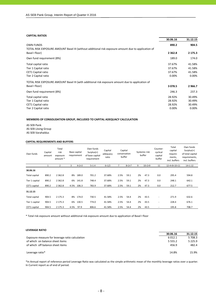#### **CAPITAL RATIOS**

|                                                                                                                       | 30.06.16    | 31.12.15 |
|-----------------------------------------------------------------------------------------------------------------------|-------------|----------|
| <b>OWN FUNDS</b>                                                                                                      | 890.2       | 904.5    |
| TOTAL RISK EXPOSURE AMOUNT Basel III (without additional risk exposure amount due to application of<br>Basel I floor) | 2 3 6 2 . 8 | 2 175.3  |
| Own fund requirement (8%)                                                                                             | 189.0       | 174.0    |
| Total capital ratio                                                                                                   | 37.67%      | 41.58%   |
| Tier 1 Capital ratio                                                                                                  | 37.67%      | 41.58%   |
| <b>CET1 Capital ratio</b>                                                                                             | 37.67%      | 41.58%   |
| Tier 2 Capital ratio                                                                                                  | 0.00%       | 0.00%    |
| TOTAL RISK EXPOSURE AMOUNT Basel III (with additional risk exposure amount due to application of                      |             |          |
| Basel I floor)                                                                                                        | 3 0 78.5    | 2966.7   |
| Own fund requirement (8%)                                                                                             | 246.3       | 237.3    |
| Total capital ratio                                                                                                   | 28.92%      | 30.49%   |
| Tier 1 Capital ratio                                                                                                  | 28.92%      | 30.49%   |
| CET1 Capital ratio                                                                                                    | 28.92%      | 30.49%   |
| Tier 2 Capital ratio                                                                                                  | 0.00%       | 0.00%    |

#### **MEMBERS OF CONSOLIDATION GROUP, INCLUDED TO CAPITAL ADEQUACY CALCULATION**

AS SEB Pank AS SEB Liising Group AS SEB Varahaldus

#### **CAPITAL REQUIREMENTS AND BUFFERS**

| Own funds            | Capital<br>amount | Total<br>risk<br>exposure<br>amount * |      | Base capital<br>requirement | Own funds<br>$Surplus(+)$<br>of base capital<br>requirement | Capital<br>adeguacy<br>ratio | conservation   | Capital<br>buffer |    | Systemic risk<br>buffer | Counter-<br>cyclical<br>capital<br>buffer | Total<br>capital<br>require-<br>ments,<br>incl. buffers | Own funds<br>$Surplus(+)$<br>of total capital<br>requirements,<br>incl. buffers |
|----------------------|-------------------|---------------------------------------|------|-----------------------------|-------------------------------------------------------------|------------------------------|----------------|-------------------|----|-------------------------|-------------------------------------------|---------------------------------------------------------|---------------------------------------------------------------------------------|
|                      | 1                 | $\overline{2}$                        | 3    | $4=2\times3$                | $5 = 1 - 4$                                                 | $6=1/2$                      | $\overline{7}$ | $8=2\times7$      | 9  | $10 = 2 \times 9$       | 11                                        | $12=4+8+10+11$                                          | $14 = 1 - 12$                                                                   |
| 30.06.16             |                   |                                       |      |                             |                                                             |                              |                |                   |    |                         |                                           |                                                         |                                                                                 |
| <b>Total capital</b> | 890.2             | 2 3 6 2 . 8                           | 8%   | 189.0                       | 701.2                                                       | 37.68%                       | 2.5%           | 59.1              | 2% | 47.3                    | 0.0                                       | 295.4                                                   | 594.8                                                                           |
| Tier 1 capital       | 890.2             | 2 3 6 2 . 8                           | 6%   | 141.8                       | 748.4                                                       | 37.68%                       | 2.5%           | 59.1              | 2% | 47.3                    | 0.0                                       | 248.1                                                   | 642.1                                                                           |
| CET1 capital         | 890.2             | 2 3 6 2 . 8                           |      | 4.5% 106.3                  | 783.9                                                       | 37.68%                       | 2.5%           | 59.1              | 2% | 47.3                    | 0.0                                       | 212.7                                                   | 677.5                                                                           |
| 31.12.15             |                   |                                       |      |                             |                                                             |                              |                |                   |    |                         |                                           |                                                         |                                                                                 |
| <b>Total capital</b> | 904.5             | 2 175.3                               | 8%   | 174.0                       | 730.5                                                       | 41.58%                       | 2.5%           | 54.4              | 2% | 43.5                    | $\overline{\phantom{0}}$                  | 271.9                                                   | 632.6                                                                           |
| Tier 1 capital       | 904.5             | 2 175.3                               | 6%   | 130.5                       | 774.0                                                       | 41.58%                       | 2.5%           | 54.4              | 2% | 43.5                    | $\overline{\phantom{a}}$                  | 228.4                                                   | 676.1                                                                           |
| CET1 capital         | 904.5             | 2 175.3                               | 4.5% | 97.9                        | 806.6                                                       | 41.58%                       | 2.5%           | 54.4              | 2% | 43.5                    |                                           | 195.8                                                   | 708.7                                                                           |

\* Total risk exposure amount without additional risk exposure amount due to application of Basel I floor

#### **LEVERAGE RATIO**

|                                                 | 30.06.16    | 31.12.15    |
|-------------------------------------------------|-------------|-------------|
| Exposure measure for leverage ratio calculation | 6 0 1 2 . 1 | 5 708.3     |
| of which on balance sheet items                 | 5 5 5 5 .2  | 5 2 2 5 . 9 |
| of which off balance sheet items                | 456.9       | 482.4       |
| Leverage ratio*                                 | 14.8%       | 15.9%       |

\*In Annual report of reference period Leverage Ratio was calculated as the simple arithmetic mean of the monthly leverage ratios over a quarter. In Current report as of end of period.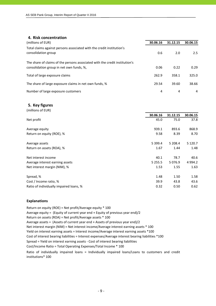## **4. Risk concentration**

| (millions of EUR)                                                                                                       | 30.06.16 | 31.12.15 | 30.06.15 |
|-------------------------------------------------------------------------------------------------------------------------|----------|----------|----------|
| Total claims against persons associated with the credit institution's<br>consolidation group                            | 0.6      | 2.0      | 2.5      |
| The share of claims of the persons associated with the credit institution's<br>consolidation group in net own funds, %, | 0.06     | 0.22     | 0.29     |
| Total of large exposure claims                                                                                          | 262.9    | 358.1    | 325.0    |
| The share of large exposure claims in net own funds, %                                                                  | 29.54    | 39.60    | 38.66    |
| Number of large exposure customers                                                                                      | 4        | 4        | 4        |

#### **5. Key figures**

| (millions of EUR)                       |             |            |             |
|-----------------------------------------|-------------|------------|-------------|
|                                         | 30.06.16    | 31.12.15   | 30.06.15    |
| Net profit                              | 45.0        | 75.0       | 37.8        |
| Average equity                          | 939.1       | 893.6      | 868.9       |
| Return on equity (ROE), %               | 9.58        | 8.39       | 8.70        |
| Average assets                          | 5 3 9 9.4   | 5 208.4    | 5 1 2 0 . 7 |
| Return on assets (ROA), %               | 1.67        | 1.44       | 1.48        |
| Net interest income                     | 40.1        | 78.7       | 40.6        |
| Average interest earning assets         | 5 2 5 5 . 5 | 5 0 7 6 .9 | 4 9 9 4.2   |
| Net interest margin (NIM), %            | 1.53        | 1.55       | 1.63        |
| Spread, %                               | 1.48        | 1.50       | 1.58        |
| Cost / Income ratio, %                  | 39.9        | 43.8       | 43.6        |
| Ratio of individually impaired loans, % | 0.32        | 0.50       | 0.62        |

#### **Explanations**

Return on equity (ROE) = Net profit/Average equity \* 100 Average equity = (Equity of current year end + Equity of previous year end)/2 Return on assets (ROA) = Net profit/Average assets \* 100 Average assets = (Assets of current year end + Assets of previous year end)/2 Cost of interest bearing liabilities = Interest expenses/Average interest bearing liabilities \*100 Cost/Income Ratio = Total Operating Expenses/Total Income \* 100 Net interest margin (NIM) = Net interest income/Average interest earning assets \* 100 Yield on interest earning assets = Interest income/Average interest earning assets \*100 Ratio of individually impaired loans = Individually impaired loans/Loans to customers and credit institutions\* 100 Spread = Yield on interest earning assets ‐ Cost of interest bearing liabilities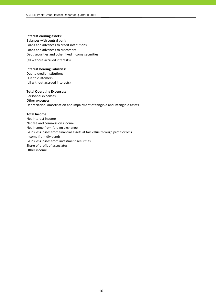#### **Interest earning assets:**

Balances with central bank Loans and advances to credit institutions Loans and advances to customers Debt securities and other fixed income securities (all without accrued interests)

#### **Interest bearing liabilities:**

Due to credit institutions Due to customers (all without accrued interests)

#### **Total Operating Expenses:**

Personnel expenses Other expenses Depreciation, amortisation and impairment of tangible and intangible assets

#### **Total Income:**

Net interest income Net fee and commission income Net income from foreign exchange Gains less losses from financial assets at fair value through profit or loss Income from dividends Gains less losses from investment securities Share of profit of associates Other income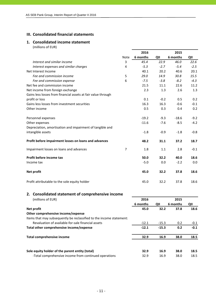## **III. Consolidated financial statements**

#### **1. Consolidated income statement** (millions of EUR)

|                                                               |                | 2016     |        | 2015     |        |
|---------------------------------------------------------------|----------------|----------|--------|----------|--------|
|                                                               | <b>Note</b>    | 6 months | QII    | 6 months | QII    |
| Interest and similar income                                   | 3              | 45.4     | 22.9   | 46.0     | 22.6   |
| Interest expenses and similar charges                         | 4              | $-5.3$   | $-2.7$ | $-5.4$   | $-2.5$ |
| Net Interest Income                                           |                | 40.1     | 20.2   | 40.6     | 20.1   |
| Fee and commission income                                     | 5              | 29.0     | 14.9   | 30.8     | 15.5   |
| Fee and commission expense                                    | 6              | $-7.5$   | $-3.8$ | $-8.2$   | $-4.3$ |
| Net fee and commission income                                 |                | 21.5     | 11.1   | 22.6     | 11.2   |
| Net income from foreign exchange                              |                | 2.3      | 1.3    | 2.6      | 1.3    |
| Gains less losses from financial assets at fair value through |                |          |        |          |        |
| profit or loss                                                |                | 0.1      | $-0.2$ | 0.5      | 0.2    |
| Gains less losses from investment securities                  |                | 16.3     | 16.3   | $-0.6$   | $-0.1$ |
| Other income                                                  |                | 0.5      | 0.3    | 0.4      | 0.2    |
| Personnel expenses                                            |                | $-19.2$  | $-9.3$ | $-18.6$  | $-9.2$ |
| Other expenses                                                |                | $-11.6$  | $-7.6$ | $-8.5$   | $-4.2$ |
| Depreciation, amortisation and impairment of tangible and     |                |          |        |          |        |
| intangible assets                                             |                | $-1.8$   | $-0.9$ | $-1.8$   | $-0.8$ |
| Profit before impairment losses on loans and advances         |                | 48.2     | 31.1   | 37.2     | 18.7   |
| Impairment losses on loans and advances                       | $\overline{7}$ | 1.8      | 1.1    | 2.8      | $-0.1$ |
| Profit before income tax                                      |                | 50.0     | 32.2   | 40.0     | 18.6   |
| Income tax                                                    |                | $-5.0$   | 0.0    | $-2.2$   | 0.0    |
| Net profit                                                    |                | 45.0     | 32.2   | 37.8     | 18.6   |
| Profit attributable to the sole equity holder                 |                | 45.0     | 32.2   | 37.8     | 18.6   |

# **2. Consolidated statement of comprehensive income** (millions of EUR) **2016 2015 6 months QII 6 months QII Net profit 45.0 32.2 37.8 18.6 Other comprehensive income/expense** Items that may subsequently be reclassified to the income statement: Revaluation of available-for-sale financial assets **Fig. 12.1** -15.3 0.2 -0.1 **Total other comprehensive income/expense ‐12.1 ‐15.3 0.2 ‐0.1 Total comprehensive income 32.9 16.9 38.0 18.5 Sole equity holder of the parent entity (total) 32.9 16.9 38.0 18.5** ‐Total comprehensive income from continued operations 32.9 16.9 38.0 18.5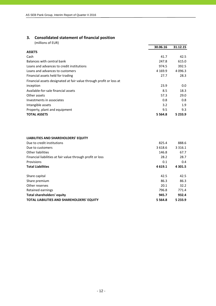## **3. Consolidated statement of financial position**

(millions of EUR)

|                                                                     | 30.06.16    | 31.12.15    |
|---------------------------------------------------------------------|-------------|-------------|
| <b>ASSETS</b>                                                       |             |             |
| Cash                                                                | 41.7        | 42.5        |
| Balances with central bank                                          | 247.8       | 615.0       |
| Loans and advances to credit institutions                           | 974.5       | 392.5       |
| Loans and advances to customers                                     | 4 1 6 9 . 9 | 4 0 9 6 .3  |
| Financial assets held for trading                                   | 27.7        | 28.3        |
| Financial assets designated at fair value through profit or loss at |             |             |
| inception                                                           | 23.9        | $0.0\,$     |
| Available-for-sale financial assets                                 | 8.5         | 18.3        |
| Other assets                                                        | 57.3        | 29.0        |
| Investments in associates                                           | 0.8         | 0.8         |
| Intangible assets                                                   | 3.2         | 1.9         |
| Property, plant and equipment                                       | 9.5         | 9.3         |
| <b>TOTAL ASSETS</b>                                                 | 5 5 6 4 .8  | 5 2 3 3 . 9 |

## **LIABILITIES AND SHAREHOLDERS' EQUITY**

| Due to credit institutions                                 | 825.4      | 888.6       |
|------------------------------------------------------------|------------|-------------|
| Due to customers                                           | 3 6 18.6   | 3 3 1 6 . 1 |
| Other liabilities                                          | 146.8      | 67.7        |
| Financial liabilities at fair value through profit or loss | 28.2       | 28.7        |
| Provisions                                                 | 0.1        | 0.4         |
| <b>Total Liabilities</b>                                   | 4 6 19.1   | 4 3 0 1.5   |
| Share capital                                              | 42.5       | 42.5        |
| Share premium                                              | 86.3       | 86.3        |
| Other reserves                                             | 20.1       | 32.2        |
| Retained earnings                                          | 796.8      | 771.4       |
| <b>Total shareholders' equity</b>                          | 945.7      | 932.4       |
| <b>TOTAL LIABILITIES AND SHAREHOLDERS' EQUITY</b>          | 5 5 6 4 .8 | 5 2 3 3 . 9 |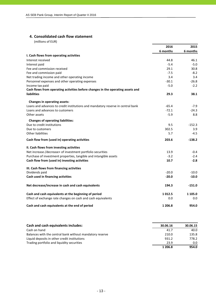## **4. Consolidated cash flow statement**

(millions of EUR)

|                                                                                 | 2016     | 2015     |
|---------------------------------------------------------------------------------|----------|----------|
|                                                                                 | 6 months | 6 months |
| I. Cash flows from operating activities                                         |          |          |
| Interest received                                                               | 44.8     | 46.1     |
| Interest paid                                                                   | $-5.4$   | $-5.0$   |
| Fee and commission received                                                     | 29.1     | 30.8     |
| Fee and commission paid                                                         | $-7.5$   | $-8.2$   |
| Net trading income and other operating income                                   | 3.4      | 3.4      |
| Personnel expenses and other operating expenses                                 | $-30.1$  | $-26.8$  |
| Income tax paid                                                                 | $-5.0$   | $-2.2$   |
| Cash flows from operating activities before changes in the operating assets and |          |          |
| <b>liabilities</b>                                                              | 29.3     | 38.1     |
| <b>Changes in operating assets:</b>                                             |          |          |
| Loans and advances to credit institutions and mandatory reserve in central bank | $-65.4$  | $-7.9$   |
| Loans and advances to customers                                                 | $-72.1$  | $-24.3$  |
| Other assets                                                                    | $-5.9$   | 8.8      |
| <b>Changes of operating liabilities:</b>                                        |          |          |
| Due to credit institutions                                                      | 9.5      | $-152.3$ |
| Due to customers                                                                | 302.5    | 3.9      |
| <b>Other liabilities</b>                                                        | 5.7      | -4.5     |
| Cash flow from (used in) operating activities                                   | 203.6    | $-138.2$ |
| II. Cash flows from investing activities                                        |          |          |
| Net increase-/decrease+ of investment portfolio securities                      | 13.9     | $-0.4$   |
| Purchase of investment properties, tangible and intangible assets               | $-3.2$   | $-2.4$   |
| Cash flow from (used in) investing activities                                   | 10.7     | $-2.8$   |
| III. Cash flows from financing activities                                       |          |          |
| Dividends paid                                                                  | $-20.0$  | $-10.0$  |
| Cash used in financing activities                                               | $-20.0$  | $-10.0$  |
| Net decrease/increase in cash and cash equivalents                              | 194.3    | $-151.0$ |
| Cash and cash equivalents at the beginning of period                            | 1012.5   | 1 105.0  |
| Effect of exchange rate changes on cash and cash equivalents                    | 0.0      | 0.0      |
| Cash and cash equivalents at the end of period                                  | 1 206.8  | 954.0    |

| Cash and cash equivalents includes:                      | 30.06.16 | 30.06.15      |
|----------------------------------------------------------|----------|---------------|
| Cash on hand                                             | 41.7     | 40.0          |
| Balances with the central bank without mandatory reserve | 210.0    | 135.8         |
| Liquid deposits in other credit institutions             | 931.2    | 778.2         |
| Trading portfolio and liquidity securities               | 23.9     | $0.0^{\circ}$ |
|                                                          | 1 206.8  | 954.0         |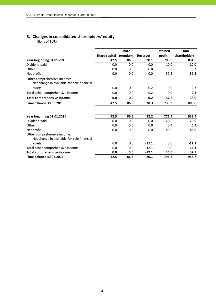# **5. Changes in consolidated shareholders' equity**

(millions of EUR)

|                                                                           |               | <b>Share</b> |                 | <b>Retained</b> | <b>Total</b>  |
|---------------------------------------------------------------------------|---------------|--------------|-----------------|-----------------|---------------|
|                                                                           | Share capital | premium      | <b>Reserves</b> | profit          | shareholders' |
| Year beginning 01.01.2015                                                 | 42.5          | 86.3         | 20.1            | 705.9           | 854.8         |
| Dividend paid                                                             | 0.0           | 0.0          | 0.0             | $-10.0$         | $-10.0$       |
| Other                                                                     | 0.0           | 0.0          | 0.0             | 0.2             | 0.2           |
| Net profit                                                                | 0.0           | 0.0          | 0.0             | 37.8            | 37.8          |
| Other comprehensive income:<br>Net change in available-for-sale financial |               |              |                 |                 |               |
| assets                                                                    | 0.0           | 0.0          | 0.2             | 0.0             | 0.2           |
| Total other comprehensive income                                          | 0.0           | 0.0          | 0.2             | 0.0             | 0.2           |
| <b>Total comprehensive income</b>                                         | 0.0           | 0.0          | 0.2             | 37.8            | 38.0          |
| <b>Final balance 30.06.2015</b>                                           | 42.5          | 86.3         | 20.3            | 733.9           | 883.0         |
| Year beginning 01.01.2016                                                 | 42.5          | 86.3         | 32.2            | 771.4           | 932.4         |
| Dividend paid                                                             | 0.0           | 0.0          | 0.0             | $-20.0$         | $-20.0$       |
| Other                                                                     | 0.0           | 0.0          | 0.0             | 0.4             | 0.4           |
| Net profit                                                                | 0.0           | 0.0          | 0.0             | 45.0            | 45.0          |
| Other comprehensive income:<br>Net change in available-for-sale financial |               |              |                 |                 |               |
| assets                                                                    | 0.0           | 0.0          | $-12.1$         | 0.0             | $-12.1$       |
| Total other comprehensive income                                          | 0.0           | 0.0          | $-12.1$         | 0.0             | $-12.1$       |
| <b>Total comprehensive income</b>                                         | 0.0           | 0.0          | $-12.1$         | 45.0            | 32.9          |
| <b>Final balance 30.06.2016</b>                                           | 42.5          | 86.3         | 20.1            | 796.8           | 945.7         |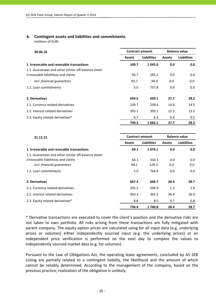## **6. Contingent assets and liabilities and commitments**

(millions of EUR)

| 30.06.16                                            |               | <b>Contract amount</b> | <b>Balance value</b> |                    |  |
|-----------------------------------------------------|---------------|------------------------|----------------------|--------------------|--|
|                                                     | <b>Assets</b> | <b>Liabilities</b>     | <b>Assets</b>        | <b>Liabilities</b> |  |
| 1. Irrevocable and revocable transactions           | 100.7         | 1043.0                 | 0.0                  | 0.0                |  |
| 1.1. Guarantees and other similar off-balance sheet |               |                        |                      |                    |  |
| irrovocable liabilitieas and claims                 | 95.7          | 285.2                  | 0.0                  | 0.0                |  |
| incl. financial guarantees                          | 95.7          | 94.0                   | 0.0                  | 0.0                |  |
| 1.2. Loan commitments                               | 5.0           | 757.8                  | 0.0                  | 0.0                |  |
| 2. Derivatives                                      | 639.5         | 639.1                  | 27.7                 | 28.2               |  |
| 2.1. Currency related derivatives                   | 239.7         | 239.6                  | 14.8                 | 14.5               |  |
| 2.2. Interest related derivatives                   | 393.1         | 393.1                  | 12.5                 | 13.2               |  |
| 2.3. Equity related derivatives*                    | 6.7           | 6.4                    | 0.4                  | 0.5                |  |
|                                                     | 740.2         | 1682.1                 | 27.7                 | 28.2               |  |

| 31.12.15                                            |               | <b>Balance value</b><br><b>Contract amount</b> |               |                    |  |
|-----------------------------------------------------|---------------|------------------------------------------------|---------------|--------------------|--|
|                                                     | <b>Assets</b> | <b>Liabilities</b>                             | <b>Assets</b> | <b>Liabilities</b> |  |
| 1. Irrevocable and revocable transactions           | 69.1          | 1074.1                                         | 0.0           | 0.0                |  |
| 1.1. Guarantees and other similar off-balance sheet |               |                                                |               |                    |  |
| irrovocable liabilitieas and claims                 | 64.1          | 310.3                                          | 0.0           | 0.0                |  |
| incl. financial quarantees                          | 64.1          | 129.3                                          | 0.0           | 0.0                |  |
| 1.2. Loan commitments                               | 5.0           | 764.0                                          | 0.0           | 0.0                |  |
| 2. Derivatives                                      | 667.3         | 666.7                                          | 28.4          | 28.7               |  |
| 2.1. Currency related derivatives                   | 295.2         | 294.9                                          | 1.3           | 1.0                |  |
| 2.2. Interest related derivatives                   | 363.3         | 363.3                                          | 26.4          | 26.9               |  |
| 2.3. Equity related derivatives*                    | 8.8           | 8.5                                            | 0.7           | 0.8                |  |
|                                                     | 736.4         | 1740.8                                         | 28.4          | 28.7               |  |

\* Derivative transactions are executed to cover the client's position and the derivative risks are not taken to own portfolio. All risks arising from these transactions are fully mitigated with parent company. The equity option prices are calculated using for all input data (e.g. underlying prices or volumes) either independently sourced input (e.g. the underlying prices) or an independent price verification is performed on the next day to compare the values to independently sourced market data (e.g. for volumes).

Pursuant to the Law of Obligations Act, the operating lease agreements, concluded by AS SEB Liising are partially related to a contingent liability, the likelihood and the amount of which cannot be reliably determined. According to the management of the company, based on the previous practice, realization of the obligation is unlikely.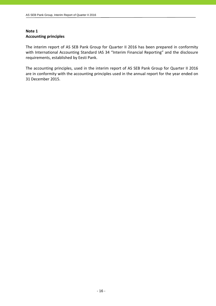## **Note 1 Accounting principles**

The interim report of AS SEB Pank Group for Quarter II 2016 has been prepared in conformity with International Accounting Standard IAS 34 "Interim Financial Reporting" and the disclosure requirements, established by Eesti Pank.

The accounting principles, used in the interim report of AS SEB Pank Group for Quarter II 2016 are in conformity with the accounting principles used in the annual report for the year ended on 31 December 2015.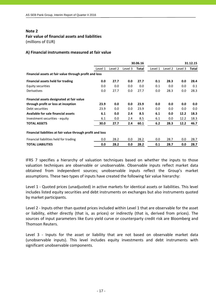## **Fair value of financial assets and liabilities**

(millions of EUR)

## **A) Financial instruments measured at fair value**

|                                                             | 30.06.16 |         |         |       |         |         | 31.12.15 |       |
|-------------------------------------------------------------|----------|---------|---------|-------|---------|---------|----------|-------|
|                                                             | Level 1  | Level 2 | Level 3 | Total | Level 1 | Level 2 | Level 3  | Total |
| Financial assets at fair value through profit and loss      |          |         |         |       |         |         |          |       |
| Financial assets held for trading                           | 0.0      | 27.7    | 0.0     | 27.7  | 0.1     | 28.3    | 0.0      | 28.4  |
| Equity securities                                           | 0.0      | 0.0     | 0.0     | 0.0   | 0.1     | 0.0     | 0.0      | 0.1   |
| Derivatives                                                 | 0.0      | 27.7    | 0.0     | 27.7  | 0.0     | 28.3    | 0.0      | 28.3  |
| Financial assets designated at fair value                   |          |         |         |       |         |         |          |       |
| through profit or loss at inception                         | 23.9     | 0.0     | 0.0     | 23.9  | 0.0     | 0.0     | 0.0      | 0.0   |
| Debt securities                                             | 23.9     | 0.0     | 0.0     | 23.9  | 0.0     | 0.0     | 0.0      | 0.0   |
| Available for sale financial assets                         | 6.1      | 0.0     | 2.4     | 8.5   | 6.1     | 0.0     | 12.2     | 18.3  |
| Investment securities - equity                              | 6.1      | 0.0     | 2.4     | 8.5   | 6.1     | 0.0     | 12.2     | 18.3  |
| <b>TOTAL ASSETS</b>                                         | 30.0     | 27.7    | 2.4     | 60.1  | 6.2     | 28.3    | 12.2     | 46.7  |
| Financial liabilities at fair value through profit and loss |          |         |         |       |         |         |          |       |
| Financial liabilities held for trading                      | 0.0      | 28.2    | 0.0     | 28.2  | 0.0     | 28.7    | 0.0      | 28.7  |
| <b>TOTAL LIABILITIES</b>                                    | 0.0      | 28.2    | 0.0     | 28.2  | 0.1     | 28.7    | 0.0      | 28.7  |

IFRS 7 specifies a hierarchy of valuation techniques based on whether the inputs to those valuation techniques are observable or unobservable. Observable inputs reflect market data obtained from independent sources; unobservable inputs reflect the Group's market assumptions. These two types of inputs have created the following fair value hierarchy:

Level 1 - Quoted prices (unadjusted) in active markets for identical assets or liabilities. This level includes listed equity securities and debt instruments on exchanges but also instruments quoted by market participants.

Level 2 - Inputs other than quoted prices included within Level 1 that are observable for the asset or liability, either directly (that is, as prices) or indirectly (that is, derived from prices). The sources of input parameters like Euro yield curve or counterparty credit risk are Bloomberg and Thomson Reuters.

Level 3 - Inputs for the asset or liability that are not based on observable market data (unobservable inputs). This level includes equity investments and debt instruments with significant unobservable components.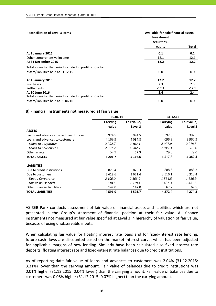| <b>Reconciliation of Level 3 Items</b>                     | Available-for-sale financial assets |         |
|------------------------------------------------------------|-------------------------------------|---------|
|                                                            | Investment<br>securities -          |         |
|                                                            | equity                              | Total   |
| At 1 January 2015                                          | 0.1                                 | 0.1     |
| Other comprehensive income                                 | 12.1                                | 12.1    |
| At 31 December 2015                                        | 12.2                                | 12.2    |
| Total losses for the period included in profit or loss for |                                     |         |
| assets/liabilities held at 31.12.15                        | 0.0                                 | 0.0     |
| At 1 January 2016                                          | 12.2                                | 12.2    |
| Purchases                                                  | 2.3                                 | 2.3     |
| Settlements                                                | $-12.1$                             | $-12.1$ |
| At 30 June 2016                                            | 2.4                                 | 2.4     |
| Total losses for the period included in profit or loss for |                                     |         |
| assets/liabilities held at 30.06.16                        | 0.0                                 | 0.0     |

#### **B) Financial instruments not measured at fair value**

|                                           | 30.06.16        |             | 31.12.15   |             |
|-------------------------------------------|-----------------|-------------|------------|-------------|
|                                           | <b>Carrying</b> | Fair value, | Carrying   | Fair value, |
|                                           | value           | Level 3     | value      | Level 3     |
| <b>ASSETS</b>                             |                 |             |            |             |
| Loans and advances to credit institutions | 974.5           | 974.5       | 392.5      | 392.5       |
| Loans and advances to customers           | 4 1 6 9 . 9     | 4 0 8 4 . 8 | 4 0 9 6.3  | 3 960.9     |
| Loans to Corporates                       | 2092.7          | 2 102.1     | 2077.0     | 2079.5      |
| Loans to households                       | 2077.2          | 1 982.7     | 2019.3     | 1 881.4     |
| Other assets                              | 57.3            | 57.3        | 29.0       | 29.0        |
| <b>TOTAL ASSETS</b>                       | 5 201.7         | 5 1 1 6 . 6 | 4517.8     | 4 3 8 2.4   |
| <b>LIABILITIES</b>                        |                 |             |            |             |
| Due to credit institutions                | 825.4           | 825.3       | 888.6      | 888.2       |
| Due to customers                          | 3 618.6         | 3 621.4     | 3 3 1 6 .1 | 3 3 1 8 .4  |
| Due to Corporates                         | 2 100.0         | 2 103.0     | 1884.8     | 1 886.9     |
| Due to households                         | 1518.6          | 1518.4      | 1431.3     | 1431.5      |
| Other financial liabilities               | 147.0           | 147.0       | 67.7       | 67.7        |
| <b>TOTAL LIABILITIES</b>                  | 4 5 9 1.0       | 4 5 9 3.7   | 4 2 7 2.4  | 4 2 7 4 .3  |

AS SEB Pank conducts assessment of fair value of financial assets and liabilities which are not presented in the Group's statement of financial position at their fair value. All finance instruments not measured at fair value specified at Level 3 in hierarchy of valuation of fair value, because of using unobservable inputs.

When calculating fair value for floating interest rate loans and for fixed-interest rate lending, future cash flows are discounted based on the market interest curve, which has been adjusted for applicable margins of new lending. Similarly have been calculated also fixed-interest rate deposits, floating interest rate and fixed-interest rate balances due to credit institutions.

As of reporting date fair value of loans and advances to customers was 2.04% (31.12.2015: 3.31%) lower than the carrying amount. Fair value of balances due to credit institutions was 0.01% higher (31.12.2015: 0.04% lower) than the carrying amount. Fair value of balances due to customers was 0.08% higher (31.12.2015: 0.07% higher) than the carrying amount.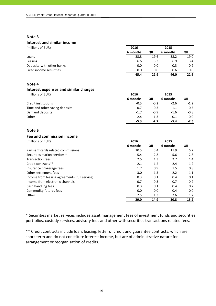# **Interest and similar income**

| (millions of EUR)         | 2016     |      | 2015     |      |
|---------------------------|----------|------|----------|------|
|                           | 6 months | QII  | 6 months | QII  |
| Loans                     | 38.8     | 19.6 | 38.2     | 19.0 |
| Leasing                   | 6.6      | 3.3  | 6.9      | 3.4  |
| Deposits with other banks | 0.0      | 0.0  | 0.3      | 0.2  |
| Fixed income securities   | 0.0      | 0.0  | 0.6      | 0.0  |
|                           | 45.4     | 22.9 | 46.0     | 22.6 |

## **Note 4**

#### **Interest expenses and similar charges** (millions of EUR) **2016 2015**

|                                | 6 months | ΟII    | 6 months | QII    |
|--------------------------------|----------|--------|----------|--------|
| Credit institutions            | $-0.5$   | $-0.2$ | $-2.6$   | $-1.2$ |
| Time and other saving deposits | $-0.7$   | $-0.3$ | $-1.1$   | $-0.5$ |
| Demand deposits                | $-1.7$   | $-0.9$ | $-1.6$   | $-0.8$ |
| Other                          | $-2.4$   | $-1.3$ | $-0.1$   | 0.0    |
|                                | $-5.3$   | $-2.7$ | -5.4     | $-2.5$ |

## **Note 5**

# **Fee and commission income**

| (millions of EUR)                             | 2016     |      | 2015     |      |
|-----------------------------------------------|----------|------|----------|------|
|                                               | 6 months | QII  | 6 months | QII  |
| Payment cards related commissions             | 10.5     | 5.4  | 11.9     | 6.2  |
| Securities market services *                  | 5.4      | 2.8  | 5.6      | 2.8  |
| <b>Transaction fees</b>                       | 2.5      | 1.3  | 2.7      | 1.4  |
| Credit contracts**                            | 2.1      | 1.2  | 2.4      | 1.2  |
| Insurance brokerage fees                      | 1.7      | 0.9  | 1.5      | 0.8  |
| Other settlement fees                         | 3.0      | 1.5  | 2.2      | 1.1  |
| Income from leasing agreements (full service) | 0.3      | 0.1  | 0.4      | 0.1  |
| Income from electronic channels               | 0.7      | 0.3  | 0.7      | 0.2  |
| Cash handling fees                            | 0.3      | 0.1  | 0.4      | 0.2  |
| Commodity futures fees                        | 0.0      | 0.0  | 0.4      | 0.0  |
| Other                                         | 2.5      | 1.3  | 2.6      | 1.2  |
|                                               | 29.0     | 14.9 | 30.8     | 15.2 |

\* Securities market services includes asset management fees of investment funds and securities portfolios, custody services, advisory fees and other with securities transactions related fees.

\*\* Credit contracts include loan, leasing, letter of credit and guarantee contracts, which are short-term and do not constitute interest income, but are of administrative nature for arrangement or reorganisation of credits.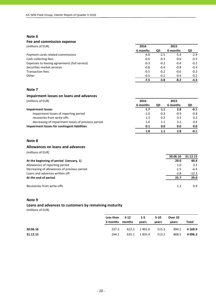#### **Fee and commission expense**

| (millions of EUR)                             | 2016     |        | 2015     |        |
|-----------------------------------------------|----------|--------|----------|--------|
|                                               | 6 months | ΟII    | 6 months | QII    |
| Payment cards related commissions             | $-4.8$   | $-2.5$ | $-5.4$   | $-2.9$ |
| Cash collecting fees                          | $-0.6$   | $-0.3$ | $-0.6$   | $-0.3$ |
| Expenses to leasing agreements (full service) | $-0.3$   | $-0.2$ | $-0.4$   | $-0.2$ |
| Securities market services                    | $-0.8$   | $-0.4$ | $-0.8$   | $-0.4$ |
| <b>Transaction fees</b>                       | $-0.5$   | $-0.2$ | $-0.6$   | $-0.3$ |
| Other                                         | $-0.5$   | $-0.2$ | $-0.4$   | $-0.2$ |
|                                               | $-7.5$   | $-3.8$ | $-8.2$   | $-4.3$ |

## **Note 7**

## **Impairment losses on loans and advances**

(millions of EUR) **2016 2015**

|                                                    | 6 months | QII    | 6 months | QII    |
|----------------------------------------------------|----------|--------|----------|--------|
| <b>Impairment losses</b>                           | 1.7      | 1.1    | 2.8      | $-0.1$ |
| impairment losses of reporting period              | $-1.0$   | $-0.3$ | $-0.9$   | $-0.8$ |
| recoveries from write-offs                         | 1.3      | 0.3    | 0.5      | 0.3    |
| decreasing of impairment losses of previous period | 1.4      | 1.1    | 3.2      | 0.4    |
| Impairment losses for contingent liabilities       | 0.1      | 0.0    | 0.0      | 0.0    |
|                                                    | 1.8      |        | 2.8      | $-0.1$ |

## **Note 8**

#### **Allowances on loans and advances**

(millions of EUR)

|                                             | 30.06.16 | 31.12.15 |
|---------------------------------------------|----------|----------|
| At the beginning of period (January, 1)     | 29.0     | 44.4     |
| Allowances of reporting period              | 1.0      | 3.3      |
| Decreasing of allowances of previous period | $-1.5$   | $-6.4$   |
| Loans and advances written off              | $-2.8$   | $-12.3$  |
| At the end of period                        | 25.7     | 29.0     |
| Recoveries from write-offs                  | 1.3      | 0.9      |

## **Note 9**

## **Loans and advances to customers by remaining maturity**

(millions of EUR)

|          | Less than 3-12  |       | $1-5$   | $5 - 10$ | Over 10 |             |
|----------|-----------------|-------|---------|----------|---------|-------------|
|          | 3 months months |       | vears   | years    | vears   | Total       |
| 30.06.16 | 237.3           | 622.2 | 1 901.0 | 515.3    | 894.1   | 4 1 6 9 . 9 |
| 31.12.15 | 244.1           | 635.1 | 1 835.4 | 513.2    | 868.5   | 4 0 9 6 .3  |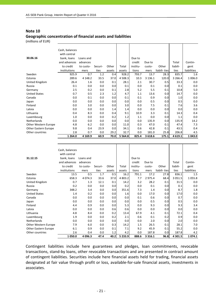#### **Geographic concentration of financial assets and liabilities**

(millions of EUR)

|                      | 1 2 64.0       | 4 1 6 9.9 | 60.9    | 70.0   | 5 5 6 4 .8 | 825.4    | 3 618.6     | 175.1        | 4 619.1   | 1 043.0     |
|----------------------|----------------|-----------|---------|--------|------------|----------|-------------|--------------|-----------|-------------|
| Other countries      | 2.8            | 0.7       | 0.0     | 29.2   | 32.7       | 0.0      | 181.0       | 25.8         | 206.8     | 4.5         |
| Other Eastern Europe | 9.8            | 0.4       | 23.9    | 0.0    | 34.1       | 0.6      | 42.8        | 0.1          | 43.5      | 0.4         |
| Other Western Europe | 4.8            | 6.2       | 0.0     | 0.0    | 11.0       | 0.3      | 47.0        | 0.1          | 47.4      | 7.3         |
| Netherlands          | 0.0            | 0.0       | 0.0     | 0.0    | 0.0        | 0.0      | 135.9       | 0.0          | 135.9     | 14.2        |
| Luxembourg           | 1.0            | 0.0       | 0.0     | 0.2    | 1.2        | 1.1      | 0.0         | 0.0          | 1.1       | 0.0         |
| Lithuania            | 0.4            | 8.3       | 0.0     | 0.4    | 9.1        | 10.9     | 3.3         | 0.1          | 14.3      | 0.4         |
| Latvia               | 0.0            | 0.0       | 0.0     | 1.4    | 1.4        | 0.0      | 0.0         | 0.0          | 0.0       | 0.0         |
| Finland              | 0.0            | 3.0       | 0.0     | 0.0    | 3.0        | 0.0      | 7.5         | 0.1          | 7.6       | 3.6         |
| Japan                | 0.0            | 0.0       | 0.0     | 0.0    | 0.0        | 0.0      | 0.5         | 0.0          | 0.5       | 0.0         |
| Canada               | 0.0            | 0.1       | 0.0     | 0.0    | 0.1        | 0.1      | 0.9         | 0.0          | 1.0       | 0.0         |
| <b>United States</b> | 0.7            | 0.5       | 2.3     | 1.2    | 4.7        | 1.1      | 13.6        | 0.0          | 14.7      | 0.0         |
| Germany              | 2.5            | 0.2       | 0.0     | 0.1    | 2.8        | 5.2      | 5.5         | 0.1          | 10.8      | 5.0         |
| Russia               | 0.1            | 0.0       | 0.0     | 0.0    | 0.1        | 0.0      | 0.1         | 0.0          | 0.1       | 0.0         |
| United Kingdom       | 26.4           | 1.6       | 0.0     | 0.1    | 28.1       | 2.1      | 30.7        | 0.5          | 33.3      | 0.0         |
| Estonia              | 289.6          | 4 148.2   | 33.5    | 37.0   | 4 5 0 8.3  | 10.3     | 3 1 3 6 . 1 | 120.0        | 3 2 6 6.4 | 1 006.0     |
| Sweden               | 925.9          | 0.7       | 1.2     | 0.4    | 928.2      | 793.7    | 13.7        | 28.3         | 835.7     | 1.6         |
|                      | institutions   | mers      | ties    | assets | assets     | tions    | mers        | liabili-ties | ties      | liabilities |
|                      | to credit      | to custo- | Securi- | Other  | Total      | institu- | custo-      | Other        | liabili-  | gent        |
|                      | and advances   | advances  |         |        |            | credit   | Due to      |              | Total     | Contin-     |
| 30.06.16             | bank, loans    | Loans and |         |        |            | Due to   |             |              |           |             |
|                      | with central   |           |         |        |            |          |             |              |           |             |
|                      | Cash, balances |           |         |        |            |          |             |              |           |             |
|                      |                |           |         |        |            |          |             |              |           |             |

|                             | 1050.0         | 4 096.3    | 47.4    | 40.2   | 5 2 3 3 . 9 | 888.6    | 3 3 1 6 . 1 | 96.8         | 4 301.5     | 1074.1      |
|-----------------------------|----------------|------------|---------|--------|-------------|----------|-------------|--------------|-------------|-------------|
| Other countries             | 2.6            | 0.4        | 0.0     | 1.2    | 4.2         | 0.0      | 187.8       | 0.0          | 187.8       | 4.2         |
| <b>Other Eastern Europe</b> | 6.1            | 0.9        | 0.0     | 0.1    | 7.1         | 9.2      | 45.9        | 0.1          | 55.2        | 0.0         |
| Other Western Europe        | 7.9            | 6.0        | 0.0     | 0.3    | 14.2        | 1.5      | 26.5        | 0.1          | 28.1        | 7.0         |
| Netherlands                 | 0.0            | 0.0        | 0.0     | 0.0    | 0.0         | 0.0      | 2.0         | 0.0          | 2.0         | 0.0         |
| Luxembourg                  | 1.9            | 0.0        | 0.0     | 0.2    | 2.1         | 0.6      | 0.1         | 0.2          | 0.9         | 0.0         |
| Lithuania                   | 4.8            | 8.4        | 0.0     | 0.2    | 13.4        | 67.9     | 4.1         | 0.1          | 72.1        | 0.4         |
| Latvia                      | 0.0            | 0.0        | 0.0     | 0.6    | 0.6         | 0.0      | 0.0         | 0.0          | 0.0         | 0.0         |
| Finland                     | 4.4            | 0.9        | 0.0     | 0.0    | 5.3         | 0.0      | 9.3         | 0.0          | 9.3         | 3.4         |
| Japan                       | 0.0            | 0.0        | 0.0     | 0.0    | 0.0         | 0.0      | 0.5         | 0.0          | 0.5         | 0.0         |
| Canada                      | 0.0            | 0.0        | 0.0     | 0.0    | 0.0         | 0.1      | 0.6         | 0.0          | 0.7         | 0.0         |
| <b>United States</b>        | 1.4            | 0.2        | 0.0     | 0.0    | 1.6         | 0.0      | 17.0        | 0.0          | 17.0        | 0.0         |
| Germany                     | 348.2          | 3.4        | 0.0     | 0.0    | 351.6       | 7.3      | 1.4         | 0.0          | 8.7         | 1.8         |
| Russia                      | 0.2            | 0.0        | 0.0     | 0.0    | 0.2         | 0.0      | 0.1         | 0.0          | 0.1         | 0.0         |
| United Kingdom              | 0.7            | 1.3        | 12.1    | 0.1    | 14.2        | 3.2      | 28.2        | 0.1          | 31.5        | 0.0         |
| Estonia                     | 658.3          | 4 0 7 4 .3 | 33.6    | 37.0   | 4 803.2     | 7.7      | 2 975.4     | 68.4         | 3 0 5 1 . 5 | 1055.8      |
| Sweden                      | 13.5           | 0.5        | 1.7     | 0.5    | 16.2        | 791.1    | 17.2        | 27.8         | 836.1       | 1.5         |
|                             | institutions   | mers       | ties    | assets | assets      | tions    | mers        | liabili-ties | ties        | liabilities |
|                             | to credit      | to custo-  | Securi- | Other  | Total       | institu- | custo-      | Other        | liabili-    | gent        |
|                             | and advances   | advances   |         |        |             | credit   | Due to      |              | Total       | Contin-     |
| 31.12.15                    | bank, loans    | Loans and  |         |        |             | Due to   |             |              |             |             |
|                             | with central   |            |         |        |             |          |             |              |             |             |
|                             | Cash, balances |            |         |        |             |          |             |              |             |             |
|                             |                |            |         |        |             |          |             |              |             |             |

Contingent liabilities include here guarantees and pledges, loan commitments, revocable transactions, stand‐by loans, other revocable transactions and are presented in contract amount of contingent liabilities. Securities include here financial assets held for trading, financial assets designated at fair value through profit or loss, available‐for‐sale financial assets, investments in associates.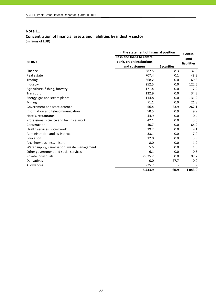## **Concentration of financial assets and liabilities by industry sector**

(millions of EUR)

|                                              | In the statement of financial position | Contin-           |                    |
|----------------------------------------------|----------------------------------------|-------------------|--------------------|
|                                              | <b>Cash and loans to central</b>       |                   | gent               |
| 30.06.16                                     | bank, credit institutions              |                   | <b>liabilities</b> |
|                                              | and customers                          | <b>Securities</b> |                    |
| Finance                                      | 1 2 8 7 . 5                            | 8.3               | 37.3               |
| Real estate                                  | 707.4                                  | 0.1               | 48.8               |
| Trading                                      | 368.2                                  | 0.0               | 169.8              |
| Industry                                     | 252.5                                  | 0.0               | 122.5              |
| Agriculture, fishing, forestry               | 171.4                                  | 0.0               | 12.2               |
| Transport                                    | 122.9                                  | 0.0               | 34.3               |
| Energy, gas and steam plants                 | 114.8                                  | 0.0               | 131.2              |
| Mining                                       | 71.1                                   | 0.0               | 21.8               |
| Government and state defence                 | 56.4                                   | 23.9              | 262.1              |
| Information and telecommunication            | 50.5                                   | 0.9               | 9.9                |
| Hotels, restaurants                          | 44.9                                   | 0.0               | 0.4                |
| Professional, science and technical work     | 42.1                                   | 0.0               | 5.6                |
| Construction                                 | 40.7                                   | 0.0               | 64.9               |
| Health services, social work                 | 39.2                                   | 0.0               | 8.1                |
| Administration and assistance                | 33.1                                   | 0.0               | 7.0                |
| Education                                    | 12.0                                   | 0.0               | 5.8                |
| Art, show business, leisure                  | 8.0                                    | 0.0               | 1.9                |
| Water supply, canalisation, waste management | 5.6                                    | 0.0               | 1.6                |
| Other government and social services         | 6.1                                    | 0.0               | 0.6                |
| Private individuals                          | 2025.2                                 | 0.0               | 97.2               |
| Derivatives                                  | 0.0                                    | 27.7              | 0.0                |
| Allowances                                   | $-25.7$                                |                   |                    |
|                                              | 5433.9                                 | 60.9              | 1 043.0            |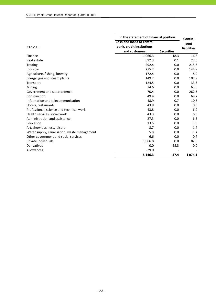|                                              |                                  | In the statement of financial position |                    |  |  |
|----------------------------------------------|----------------------------------|----------------------------------------|--------------------|--|--|
|                                              | <b>Cash and loans to central</b> |                                        | Contin-<br>gent    |  |  |
| 31.12.15                                     | bank, credit institutions        |                                        | <b>liabilities</b> |  |  |
|                                              | and customers                    | <b>Securities</b>                      |                    |  |  |
| Finance                                      | 1 0 6 6 .3                       | 18.3                                   | 16.8               |  |  |
| Real estate                                  | 692.3                            | 0.1                                    | 27.6               |  |  |
| <b>Trading</b>                               | 292.4                            | 0.0                                    | 215.6              |  |  |
| Industry                                     | 275.2                            | 0.0                                    | 144.9              |  |  |
| Agriculture, fishing, forestry               | 172.4                            | 0.0                                    | 8.9                |  |  |
| Energy, gas and steam plants                 | 149.2                            | 0.0                                    | 107.9              |  |  |
| Transport                                    | 124.5                            | 0.0                                    | 33.3               |  |  |
| Mining                                       | 74.6                             | 0.0                                    | 65.0               |  |  |
| Government and state defence                 | 70.4                             | 0.0                                    | 262.5              |  |  |
| Construction                                 | 49.4                             | 0.0                                    | 68.7               |  |  |
| Information and telecommunication            | 48.9                             | 0.7                                    | 10.6               |  |  |
| Hotels, restaurants                          | 43.9                             | 0.0                                    | 0.6                |  |  |
| Professional, science and technical work     | 43.8                             | 0.0                                    | 6.2                |  |  |
| Health services, social work                 | 43.3                             | 0.0                                    | 6.5                |  |  |
| Administration and assistance                | 27.3                             | 0.0                                    | 6.5                |  |  |
| Education                                    | 13.5                             | 0.0                                    | 5.8                |  |  |
| Art, show business, leisure                  | 8.7                              | 0.0                                    | 1.7                |  |  |
| Water supply, canalisation, waste management | 5.8                              | 0.0                                    | 1.4                |  |  |
| Other government and social services         | 6.6                              | 0.0                                    | 0.7                |  |  |
| Private individuals                          | 1966.8                           | 0.0                                    | 82.9               |  |  |
| Derivatives                                  | 0.0                              | 28.3                                   | 0.0                |  |  |
| Allowances                                   | $-29.0$                          |                                        |                    |  |  |
|                                              | 5 1 4 6 . 3                      | 47.4                                   | 1 0 7 4 . 1        |  |  |